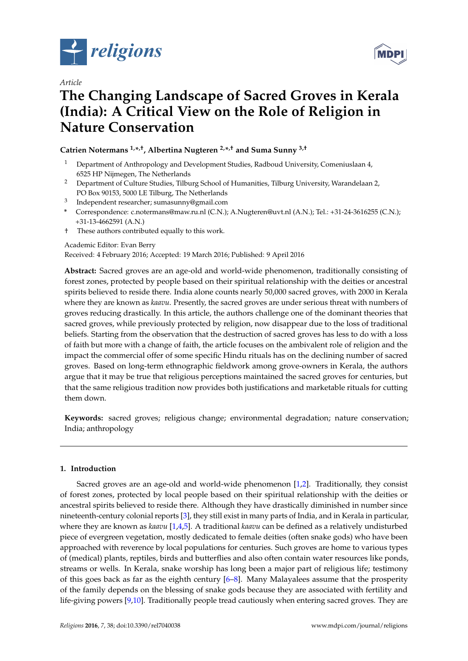

*Article*



# **The Changing Landscape of Sacred Groves in Kerala (India): A Critical View on the Role of Religion in Nature Conservation**

**Catrien Notermans 1,\* ,†, Albertina Nugteren 2,\* ,† and Suma Sunny 3,†**

- <sup>1</sup> Department of Anthropology and Development Studies, Radboud University, Comeniuslaan 4, 6525 HP Nijmegen, The Netherlands
- <sup>2</sup> Department of Culture Studies, Tilburg School of Humanities, Tilburg University, Warandelaan 2, PO Box 90153, 5000 LE Tilburg, The Netherlands
- <sup>3</sup> Independent researcher; sumasunny@gmail.com
- **\*** Correspondence: c.notermans@maw.ru.nl (C.N.); A.Nugteren@uvt.nl (A.N.); Tel.: +31-24-3616255 (C.N.); +31-13-4662591 (A.N.)
- † These authors contributed equally to this work.

## Academic Editor: Evan Berry

Received: 4 February 2016; Accepted: 19 March 2016; Published: 9 April 2016

**Abstract:** Sacred groves are an age-old and world-wide phenomenon, traditionally consisting of forest zones, protected by people based on their spiritual relationship with the deities or ancestral spirits believed to reside there. India alone counts nearly 50,000 sacred groves, with 2000 in Kerala where they are known as *kaavu*. Presently, the sacred groves are under serious threat with numbers of groves reducing drastically. In this article, the authors challenge one of the dominant theories that sacred groves, while previously protected by religion, now disappear due to the loss of traditional beliefs. Starting from the observation that the destruction of sacred groves has less to do with a loss of faith but more with a change of faith, the article focuses on the ambivalent role of religion and the impact the commercial offer of some specific Hindu rituals has on the declining number of sacred groves. Based on long-term ethnographic fieldwork among grove-owners in Kerala, the authors argue that it may be true that religious perceptions maintained the sacred groves for centuries, but that the same religious tradition now provides both justifications and marketable rituals for cutting them down.

**Keywords:** sacred groves; religious change; environmental degradation; nature conservation; India; anthropology

## **1. Introduction**

Sacred groves are an age-old and world-wide phenomenon [\[1,](#page-11-0)[2\]](#page-11-1). Traditionally, they consist of forest zones, protected by local people based on their spiritual relationship with the deities or ancestral spirits believed to reside there. Although they have drastically diminished in number since nineteenth-century colonial reports [\[3\]](#page-11-2), they still exist in many parts of India, and in Kerala in particular, where they are known as *kaavu* [\[1,](#page-11-0)[4,](#page-11-3)[5\]](#page-11-4). A traditional *kaavu* can be defined as a relatively undisturbed piece of evergreen vegetation, mostly dedicated to female deities (often snake gods) who have been approached with reverence by local populations for centuries. Such groves are home to various types of (medical) plants, reptiles, birds and butterflies and also often contain water resources like ponds, streams or wells. In Kerala, snake worship has long been a major part of religious life; testimony of this goes back as far as the eighth century  $[6-8]$  $[6-8]$ . Many Malayalees assume that the prosperity of the family depends on the blessing of snake gods because they are associated with fertility and life-giving powers [\[9,](#page-11-7)[10\]](#page-11-8). Traditionally people tread cautiously when entering sacred groves. They are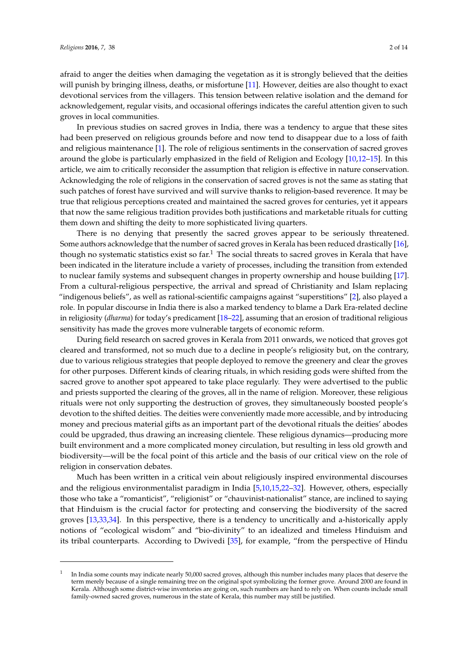afraid to anger the deities when damaging the vegetation as it is strongly believed that the deities will punish by bringing illness, deaths, or misfortune [\[11\]](#page-11-9). However, deities are also thought to exact devotional services from the villagers. This tension between relative isolation and the demand for acknowledgement, regular visits, and occasional offerings indicates the careful attention given to such groves in local communities.

In previous studies on sacred groves in India, there was a tendency to argue that these sites had been preserved on religious grounds before and now tend to disappear due to a loss of faith and religious maintenance [\[1\]](#page-11-0). The role of religious sentiments in the conservation of sacred groves around the globe is particularly emphasized in the field of Religion and Ecology [\[10,](#page-11-8)[12–](#page-11-10)[15\]](#page-11-11). In this article, we aim to critically reconsider the assumption that religion is effective in nature conservation. Acknowledging the role of religions in the conservation of sacred groves is not the same as stating that such patches of forest have survived and will survive thanks to religion-based reverence. It may be true that religious perceptions created and maintained the sacred groves for centuries, yet it appears that now the same religious tradition provides both justifications and marketable rituals for cutting them down and shifting the deity to more sophisticated living quarters.

There is no denying that presently the sacred groves appear to be seriously threatened. Some authors acknowledge that the number of sacred groves in Kerala has been reduced drastically [\[16\]](#page-11-12), though no systematic statistics exist so far.<sup>1</sup> The social threats to sacred groves in Kerala that have been indicated in the literature include a variety of processes, including the transition from extended to nuclear family systems and subsequent changes in property ownership and house building [\[17\]](#page-11-13). From a cultural-religious perspective, the arrival and spread of Christianity and Islam replacing "indigenous beliefs", as well as rational-scientific campaigns against "superstitions" [\[2\]](#page-11-1), also played a role. In popular discourse in India there is also a marked tendency to blame a Dark Era-related decline in religiosity (*dharma*) for today's predicament [\[18–](#page-11-14)[22\]](#page-12-0), assuming that an erosion of traditional religious sensitivity has made the groves more vulnerable targets of economic reform.

During field research on sacred groves in Kerala from 2011 onwards, we noticed that groves got cleared and transformed, not so much due to a decline in people's religiosity but, on the contrary, due to various religious strategies that people deployed to remove the greenery and clear the groves for other purposes. Different kinds of clearing rituals, in which residing gods were shifted from the sacred grove to another spot appeared to take place regularly. They were advertised to the public and priests supported the clearing of the groves, all in the name of religion. Moreover, these religious rituals were not only supporting the destruction of groves, they simultaneously boosted people's devotion to the shifted deities. The deities were conveniently made more accessible, and by introducing money and precious material gifts as an important part of the devotional rituals the deities' abodes could be upgraded, thus drawing an increasing clientele. These religious dynamics—producing more built environment and a more complicated money circulation, but resulting in less old growth and biodiversity—will be the focal point of this article and the basis of our critical view on the role of religion in conservation debates.

Much has been written in a critical vein about religiously inspired environmental discourses and the religious environmentalist paradigm in India [\[5](#page-11-4)[,10](#page-11-8)[,15](#page-11-11)[,22–](#page-12-0)[32\]](#page-12-1). However, others, especially those who take a "romanticist", "religionist" or "chauvinist-nationalist" stance, are inclined to saying that Hinduism is the crucial factor for protecting and conserving the biodiversity of the sacred groves [\[13](#page-11-15)[,33,](#page-12-2)[34\]](#page-12-3). In this perspective, there is a tendency to uncritically and a-historically apply notions of "ecological wisdom" and "bio-divinity" to an idealized and timeless Hinduism and its tribal counterparts. According to Dwivedi [\[35\]](#page-12-4), for example, "from the perspective of Hindu

<sup>1</sup> In India some counts may indicate nearly 50,000 sacred groves, although this number includes many places that deserve the term merely because of a single remaining tree on the original spot symbolizing the former grove. Around 2000 are found in Kerala. Although some district-wise inventories are going on, such numbers are hard to rely on. When counts include small family-owned sacred groves, numerous in the state of Kerala, this number may still be justified.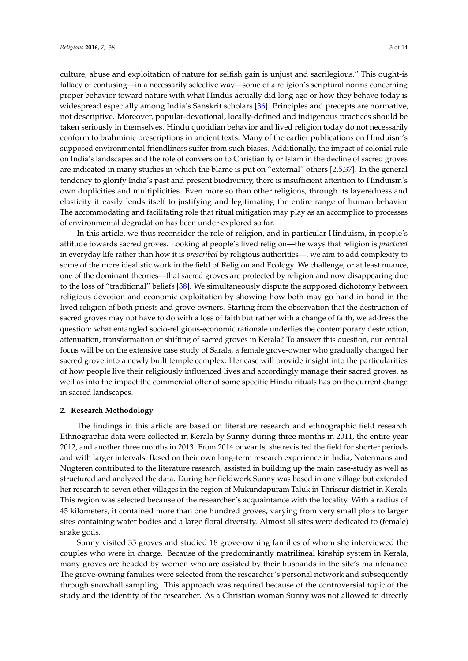culture, abuse and exploitation of nature for selfish gain is unjust and sacrilegious." This ought-is fallacy of confusing—in a necessarily selective way—some of a religion's scriptural norms concerning proper behavior toward nature with what Hindus actually did long ago or how they behave today is widespread especially among India's Sanskrit scholars [\[36\]](#page-12-5). Principles and precepts are normative, not descriptive. Moreover, popular-devotional, locally-defined and indigenous practices should be taken seriously in themselves. Hindu quotidian behavior and lived religion today do not necessarily conform to brahminic prescriptions in ancient texts. Many of the earlier publications on Hinduism's supposed environmental friendliness suffer from such biases. Additionally, the impact of colonial rule on India's landscapes and the role of conversion to Christianity or Islam in the decline of sacred groves are indicated in many studies in which the blame is put on "external" others [\[2,](#page-11-1)[5,](#page-11-4)[37\]](#page-12-6). In the general tendency to glorify India's past and present biodivinity, there is insufficient attention to Hinduism's own duplicities and multiplicities. Even more so than other religions, through its layeredness and elasticity it easily lends itself to justifying and legitimating the entire range of human behavior. The accommodating and facilitating role that ritual mitigation may play as an accomplice to processes of environmental degradation has been under-explored so far.

In this article, we thus reconsider the role of religion, and in particular Hinduism, in people's attitude towards sacred groves. Looking at people's lived religion—the ways that religion is *practiced* in everyday life rather than how it is *prescribed* by religious authorities—, we aim to add complexity to some of the more idealistic work in the field of Religion and Ecology. We challenge, or at least nuance, one of the dominant theories—that sacred groves are protected by religion and now disappearing due to the loss of "traditional" beliefs [\[38\]](#page-12-7). We simultaneously dispute the supposed dichotomy between religious devotion and economic exploitation by showing how both may go hand in hand in the lived religion of both priests and grove-owners. Starting from the observation that the destruction of sacred groves may not have to do with a loss of faith but rather with a change of faith, we address the question: what entangled socio-religious-economic rationale underlies the contemporary destruction, attenuation, transformation or shifting of sacred groves in Kerala? To answer this question, our central focus will be on the extensive case study of Sarala, a female grove-owner who gradually changed her sacred grove into a newly built temple complex. Her case will provide insight into the particularities of how people live their religiously influenced lives and accordingly manage their sacred groves, as well as into the impact the commercial offer of some specific Hindu rituals has on the current change in sacred landscapes.

#### **2. Research Methodology**

The findings in this article are based on literature research and ethnographic field research. Ethnographic data were collected in Kerala by Sunny during three months in 2011, the entire year 2012, and another three months in 2013. From 2014 onwards, she revisited the field for shorter periods and with larger intervals. Based on their own long-term research experience in India, Notermans and Nugteren contributed to the literature research, assisted in building up the main case-study as well as structured and analyzed the data. During her fieldwork Sunny was based in one village but extended her research to seven other villages in the region of Mukundapuram Taluk in Thrissur district in Kerala. This region was selected because of the researcher's acquaintance with the locality. With a radius of 45 kilometers, it contained more than one hundred groves, varying from very small plots to larger sites containing water bodies and a large floral diversity. Almost all sites were dedicated to (female) snake gods.

Sunny visited 35 groves and studied 18 grove-owning families of whom she interviewed the couples who were in charge. Because of the predominantly matrilineal kinship system in Kerala, many groves are headed by women who are assisted by their husbands in the site's maintenance. The grove-owning families were selected from the researcher's personal network and subsequently through snowball sampling. This approach was required because of the controversial topic of the study and the identity of the researcher. As a Christian woman Sunny was not allowed to directly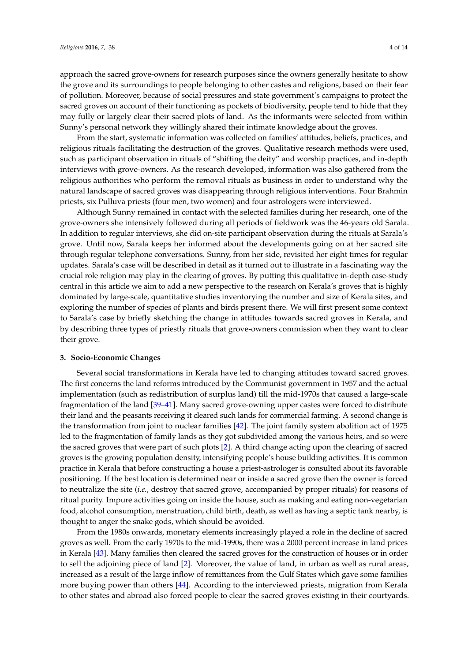approach the sacred grove-owners for research purposes since the owners generally hesitate to show the grove and its surroundings to people belonging to other castes and religions, based on their fear of pollution. Moreover, because of social pressures and state government's campaigns to protect the sacred groves on account of their functioning as pockets of biodiversity, people tend to hide that they may fully or largely clear their sacred plots of land. As the informants were selected from within Sunny's personal network they willingly shared their intimate knowledge about the groves.

From the start, systematic information was collected on families' attitudes, beliefs, practices, and religious rituals facilitating the destruction of the groves. Qualitative research methods were used, such as participant observation in rituals of "shifting the deity" and worship practices, and in-depth interviews with grove-owners. As the research developed, information was also gathered from the religious authorities who perform the removal rituals as business in order to understand why the natural landscape of sacred groves was disappearing through religious interventions. Four Brahmin priests, six Pulluva priests (four men, two women) and four astrologers were interviewed.

Although Sunny remained in contact with the selected families during her research, one of the grove-owners she intensively followed during all periods of fieldwork was the 46-years old Sarala. In addition to regular interviews, she did on-site participant observation during the rituals at Sarala's grove. Until now, Sarala keeps her informed about the developments going on at her sacred site through regular telephone conversations. Sunny, from her side, revisited her eight times for regular updates. Sarala's case will be described in detail as it turned out to illustrate in a fascinating way the crucial role religion may play in the clearing of groves. By putting this qualitative in-depth case-study central in this article we aim to add a new perspective to the research on Kerala's groves that is highly dominated by large-scale, quantitative studies inventorying the number and size of Kerala sites, and exploring the number of species of plants and birds present there. We will first present some context to Sarala's case by briefly sketching the change in attitudes towards sacred groves in Kerala, and by describing three types of priestly rituals that grove-owners commission when they want to clear their grove.

### **3. Socio-Economic Changes**

Several social transformations in Kerala have led to changing attitudes toward sacred groves. The first concerns the land reforms introduced by the Communist government in 1957 and the actual implementation (such as redistribution of surplus land) till the mid-1970s that caused a large-scale fragmentation of the land [\[39–](#page-12-8)[41\]](#page-12-9). Many sacred grove-owning upper castes were forced to distribute their land and the peasants receiving it cleared such lands for commercial farming. A second change is the transformation from joint to nuclear families [\[42\]](#page-12-10). The joint family system abolition act of 1975 led to the fragmentation of family lands as they got subdivided among the various heirs, and so were the sacred groves that were part of such plots [\[2\]](#page-11-1). A third change acting upon the clearing of sacred groves is the growing population density, intensifying people's house building activities. It is common practice in Kerala that before constructing a house a priest-astrologer is consulted about its favorable positioning. If the best location is determined near or inside a sacred grove then the owner is forced to neutralize the site (*i.e.*, destroy that sacred grove, accompanied by proper rituals) for reasons of ritual purity. Impure activities going on inside the house, such as making and eating non-vegetarian food, alcohol consumption, menstruation, child birth, death, as well as having a septic tank nearby, is thought to anger the snake gods, which should be avoided.

From the 1980s onwards, monetary elements increasingly played a role in the decline of sacred groves as well. From the early 1970s to the mid-1990s, there was a 2000 percent increase in land prices in Kerala [\[43\]](#page-12-11). Many families then cleared the sacred groves for the construction of houses or in order to sell the adjoining piece of land [\[2\]](#page-11-1). Moreover, the value of land, in urban as well as rural areas, increased as a result of the large inflow of remittances from the Gulf States which gave some families more buying power than others [\[44\]](#page-13-0). According to the interviewed priests, migration from Kerala to other states and abroad also forced people to clear the sacred groves existing in their courtyards.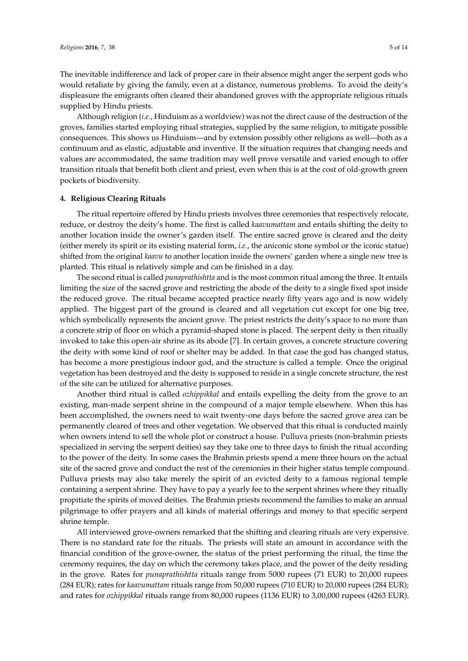The inevitable indifference and lack of proper care in their absence might anger the serpent gods who would retaliate by giving the family, even at a distance, numerous problems. To avoid the deity's displeasure the emigrants often cleared their abandoned groves with the appropriate religious rituals supplied by Hindu priests.

Although religion (*i.e.*, Hinduism as a worldview) was not the direct cause of the destruction of the groves, families started employing ritual strategies, supplied by the same religion, to mitigate possible consequences. This shows us Hinduism—and by extension possibly other religions as well—both as a continuum and as elastic, adjustable and inventive. If the situation requires that changing needs and values are accommodated, the same tradition may well prove versatile and varied enough to offer transition rituals that benefit both client and priest, even when this is at the cost of old-growth green pockets of biodiversity.

#### **4. Religious Clearing Rituals**

The ritual repertoire offered by Hindu priests involves three ceremonies that respectively relocate, reduce, or destroy the deity's home. The first is called *kaavumattam* and entails shifting the deity to another location inside the owner's garden itself. The entire sacred grove is cleared and the deity (either merely its spirit or its existing material form, *i.e.*, the aniconic stone symbol or the iconic statue) shifted from the original *kaavu* to another location inside the owners' garden where a single new tree is planted. This ritual is relatively simple and can be finished in a day.

The second ritual is called *punaprathishtta* and is the most common ritual among the three. It entails limiting the size of the sacred grove and restricting the abode of the deity to a single fixed spot inside the reduced grove. The ritual became accepted practice nearly fifty years ago and is now widely applied. The biggest part of the ground is cleared and all vegetation cut except for one big tree, which symbolically represents the ancient grove. The priest restricts the deity's space to no more than a concrete strip of floor on which a pyramid-shaped stone is placed. The serpent deity is then ritually invoked to take this open-air shrine as its abode [\[7\]](#page-11-16). In certain groves, a concrete structure covering the deity with some kind of roof or shelter may be added. In that case the god has changed status, has become a more prestigious indoor god, and the structure is called a temple. Once the original vegetation has been destroyed and the deity is supposed to reside in a single concrete structure, the rest of the site can be utilized for alternative purposes.

Another third ritual is called *ozhippikkal* and entails expelling the deity from the grove to an existing, man-made serpent shrine in the compound of a major temple elsewhere. When this has been accomplished, the owners need to wait twenty-one days before the sacred grove area can be permanently cleared of trees and other vegetation. We observed that this ritual is conducted mainly when owners intend to sell the whole plot or construct a house. Pulluva priests (non-brahmin priests specialized in serving the serpent deities) say they take one to three days to finish the ritual according to the power of the deity. In some cases the Brahmin priests spend a mere three hours on the actual site of the sacred grove and conduct the rest of the ceremonies in their higher status temple compound. Pulluva priests may also take merely the spirit of an evicted deity to a famous regional temple containing a serpent shrine. They have to pay a yearly fee to the serpent shrines where they ritually propitiate the spirits of moved deities. The Brahmin priests recommend the families to make an annual pilgrimage to offer prayers and all kinds of material offerings and money to that specific serpent shrine temple.

All interviewed grove-owners remarked that the shifting and clearing rituals are very expensive. There is no standard rate for the rituals. The priests will state an amount in accordance with the financial condition of the grove-owner, the status of the priest performing the ritual, the time the ceremony requires, the day on which the ceremony takes place, and the power of the deity residing in the grove. Rates for *punaprathishtta* rituals range from 5000 rupees (71 EUR) to 20,000 rupees (284 EUR); rates for *kaavumattam* rituals range from 50,000 rupees (710 EUR) to 20,000 rupees (284 EUR); and rates for *ozhippikkal* rituals range from 80,000 rupees (1136 EUR) to 3,00,000 rupees (4263 EUR).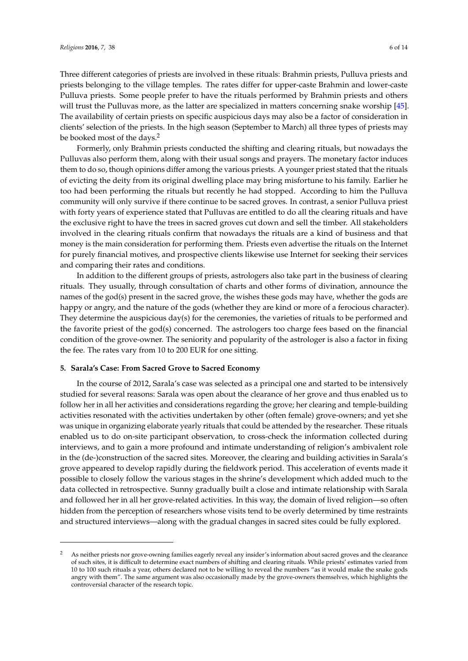Three different categories of priests are involved in these rituals: Brahmin priests, Pulluva priests and priests belonging to the village temples. The rates differ for upper-caste Brahmin and lower-caste Pulluva priests. Some people prefer to have the rituals performed by Brahmin priests and others will trust the Pulluvas more, as the latter are specialized in matters concerning snake worship [\[45\]](#page-13-1). The availability of certain priests on specific auspicious days may also be a factor of consideration in clients' selection of the priests. In the high season (September to March) all three types of priests may be booked most of the days.<sup>2</sup>

Formerly, only Brahmin priests conducted the shifting and clearing rituals, but nowadays the Pulluvas also perform them, along with their usual songs and prayers. The monetary factor induces them to do so, though opinions differ among the various priests. A younger priest stated that the rituals of evicting the deity from its original dwelling place may bring misfortune to his family. Earlier he too had been performing the rituals but recently he had stopped. According to him the Pulluva community will only survive if there continue to be sacred groves. In contrast, a senior Pulluva priest with forty years of experience stated that Pulluvas are entitled to do all the clearing rituals and have the exclusive right to have the trees in sacred groves cut down and sell the timber. All stakeholders involved in the clearing rituals confirm that nowadays the rituals are a kind of business and that money is the main consideration for performing them. Priests even advertise the rituals on the Internet for purely financial motives, and prospective clients likewise use Internet for seeking their services and comparing their rates and conditions.

In addition to the different groups of priests, astrologers also take part in the business of clearing rituals. They usually, through consultation of charts and other forms of divination, announce the names of the god(s) present in the sacred grove, the wishes these gods may have, whether the gods are happy or angry, and the nature of the gods (whether they are kind or more of a ferocious character). They determine the auspicious day(s) for the ceremonies, the varieties of rituals to be performed and the favorite priest of the god(s) concerned. The astrologers too charge fees based on the financial condition of the grove-owner. The seniority and popularity of the astrologer is also a factor in fixing the fee. The rates vary from 10 to 200 EUR for one sitting.

#### **5. Sarala's Case: From Sacred Grove to Sacred Economy**

In the course of 2012, Sarala's case was selected as a principal one and started to be intensively studied for several reasons: Sarala was open about the clearance of her grove and thus enabled us to follow her in all her activities and considerations regarding the grove; her clearing and temple-building activities resonated with the activities undertaken by other (often female) grove-owners; and yet she was unique in organizing elaborate yearly rituals that could be attended by the researcher. These rituals enabled us to do on-site participant observation, to cross-check the information collected during interviews, and to gain a more profound and intimate understanding of religion's ambivalent role in the (de-)construction of the sacred sites. Moreover, the clearing and building activities in Sarala's grove appeared to develop rapidly during the fieldwork period. This acceleration of events made it possible to closely follow the various stages in the shrine's development which added much to the data collected in retrospective. Sunny gradually built a close and intimate relationship with Sarala and followed her in all her grove-related activities. In this way, the domain of lived religion—so often hidden from the perception of researchers whose visits tend to be overly determined by time restraints and structured interviews—along with the gradual changes in sacred sites could be fully explored.

<sup>2</sup> As neither priests nor grove-owning families eagerly reveal any insider's information about sacred groves and the clearance of such sites, it is difficult to determine exact numbers of shifting and clearing rituals. While priests' estimates varied from 10 to 100 such rituals a year, others declared not to be willing to reveal the numbers "as it would make the snake gods angry with them". The same argument was also occasionally made by the grove-owners themselves, which highlights the controversial character of the research topic.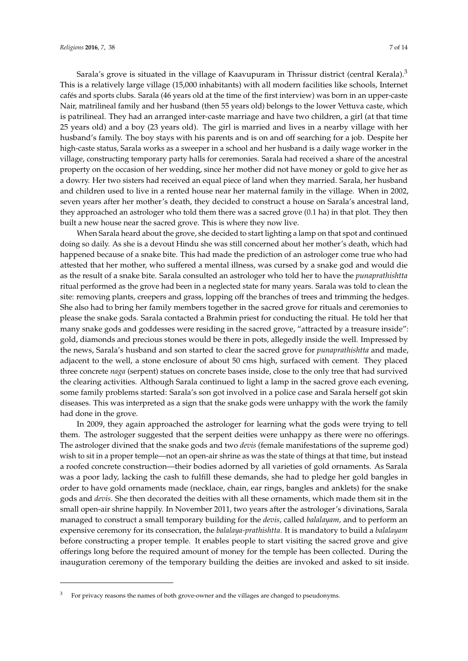Sarala's grove is situated in the village of Kaavupuram in Thrissur district (central Kerala).<sup>3</sup> This is a relatively large village (15,000 inhabitants) with all modern facilities like schools, Internet cafés and sports clubs. Sarala (46 years old at the time of the first interview) was born in an upper-caste Nair, matrilineal family and her husband (then 55 years old) belongs to the lower Vettuva caste, which is patrilineal. They had an arranged inter-caste marriage and have two children, a girl (at that time 25 years old) and a boy (23 years old). The girl is married and lives in a nearby village with her husband's family. The boy stays with his parents and is on and off searching for a job. Despite her high-caste status, Sarala works as a sweeper in a school and her husband is a daily wage worker in the village, constructing temporary party halls for ceremonies. Sarala had received a share of the ancestral property on the occasion of her wedding, since her mother did not have money or gold to give her as a dowry. Her two sisters had received an equal piece of land when they married. Sarala, her husband and children used to live in a rented house near her maternal family in the village. When in 2002, seven years after her mother's death, they decided to construct a house on Sarala's ancestral land, they approached an astrologer who told them there was a sacred grove (0.1 ha) in that plot. They then built a new house near the sacred grove. This is where they now live.

When Sarala heard about the grove, she decided to start lighting a lamp on that spot and continued doing so daily. As she is a devout Hindu she was still concerned about her mother's death, which had happened because of a snake bite. This had made the prediction of an astrologer come true who had attested that her mother, who suffered a mental illness, was cursed by a snake god and would die as the result of a snake bite. Sarala consulted an astrologer who told her to have the *punaprathishtta* ritual performed as the grove had been in a neglected state for many years. Sarala was told to clean the site: removing plants, creepers and grass, lopping off the branches of trees and trimming the hedges. She also had to bring her family members together in the sacred grove for rituals and ceremonies to please the snake gods. Sarala contacted a Brahmin priest for conducting the ritual. He told her that many snake gods and goddesses were residing in the sacred grove, "attracted by a treasure inside": gold, diamonds and precious stones would be there in pots, allegedly inside the well. Impressed by the news, Sarala's husband and son started to clear the sacred grove for *punaprathishtta* and made, adjacent to the well, a stone enclosure of about 50 cms high, surfaced with cement. They placed three concrete *naga* (serpent) statues on concrete bases inside, close to the only tree that had survived the clearing activities. Although Sarala continued to light a lamp in the sacred grove each evening, some family problems started: Sarala's son got involved in a police case and Sarala herself got skin diseases. This was interpreted as a sign that the snake gods were unhappy with the work the family had done in the grove.

In 2009, they again approached the astrologer for learning what the gods were trying to tell them. The astrologer suggested that the serpent deities were unhappy as there were no offerings. The astrologer divined that the snake gods and two *devis* (female manifestations of the supreme god) wish to sit in a proper temple—not an open-air shrine as was the state of things at that time, but instead a roofed concrete construction—their bodies adorned by all varieties of gold ornaments. As Sarala was a poor lady, lacking the cash to fulfill these demands, she had to pledge her gold bangles in order to have gold ornaments made (necklace, chain, ear rings, bangles and anklets) for the snake gods and *devis*. She then decorated the deities with all these ornaments, which made them sit in the small open-air shrine happily. In November 2011, two years after the astrologer's divinations, Sarala managed to construct a small temporary building for the *devis*, called *balalayam,* and to perform an expensive ceremony for its consecration, the *balalaya-prathishtta*. It is mandatory to build a *balalayam* before constructing a proper temple. It enables people to start visiting the sacred grove and give offerings long before the required amount of money for the temple has been collected. During the inauguration ceremony of the temporary building the deities are invoked and asked to sit inside.

<sup>3</sup> For privacy reasons the names of both grove-owner and the villages are changed to pseudonyms.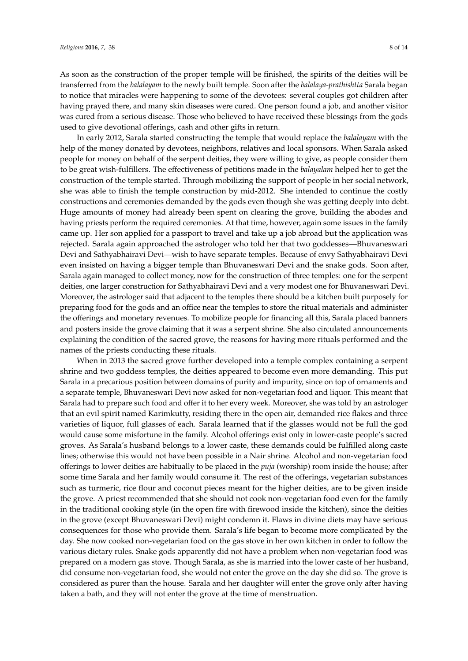As soon as the construction of the proper temple will be finished, the spirits of the deities will be transferred from the *balalayam* to the newly built temple. Soon after the *balalaya-prathishtta* Sarala began to notice that miracles were happening to some of the devotees: several couples got children after having prayed there, and many skin diseases were cured. One person found a job, and another visitor was cured from a serious disease. Those who believed to have received these blessings from the gods used to give devotional offerings, cash and other gifts in return.

In early 2012, Sarala started constructing the temple that would replace the *balalayam* with the help of the money donated by devotees, neighbors, relatives and local sponsors. When Sarala asked people for money on behalf of the serpent deities, they were willing to give, as people consider them to be great wish-fulfillers. The effectiveness of petitions made in the *balayalam* helped her to get the construction of the temple started. Through mobilizing the support of people in her social network, she was able to finish the temple construction by mid-2012. She intended to continue the costly constructions and ceremonies demanded by the gods even though she was getting deeply into debt. Huge amounts of money had already been spent on clearing the grove, building the abodes and having priests perform the required ceremonies. At that time, however, again some issues in the family came up. Her son applied for a passport to travel and take up a job abroad but the application was rejected. Sarala again approached the astrologer who told her that two goddesses—Bhuvaneswari Devi and Sathyabhairavi Devi—wish to have separate temples. Because of envy Sathyabhairavi Devi even insisted on having a bigger temple than Bhuvaneswari Devi and the snake gods. Soon after, Sarala again managed to collect money, now for the construction of three temples: one for the serpent deities, one larger construction for Sathyabhairavi Devi and a very modest one for Bhuvaneswari Devi. Moreover, the astrologer said that adjacent to the temples there should be a kitchen built purposely for preparing food for the gods and an office near the temples to store the ritual materials and administer the offerings and monetary revenues. To mobilize people for financing all this, Sarala placed banners and posters inside the grove claiming that it was a serpent shrine. She also circulated announcements explaining the condition of the sacred grove, the reasons for having more rituals performed and the names of the priests conducting these rituals.

When in 2013 the sacred grove further developed into a temple complex containing a serpent shrine and two goddess temples, the deities appeared to become even more demanding. This put Sarala in a precarious position between domains of purity and impurity, since on top of ornaments and a separate temple, Bhuvaneswari Devi now asked for non-vegetarian food and liquor. This meant that Sarala had to prepare such food and offer it to her every week. Moreover, she was told by an astrologer that an evil spirit named Karimkutty, residing there in the open air, demanded rice flakes and three varieties of liquor, full glasses of each. Sarala learned that if the glasses would not be full the god would cause some misfortune in the family. Alcohol offerings exist only in lower-caste people's sacred groves. As Sarala's husband belongs to a lower caste, these demands could be fulfilled along caste lines; otherwise this would not have been possible in a Nair shrine. Alcohol and non-vegetarian food offerings to lower deities are habitually to be placed in the *puja* (worship) room inside the house; after some time Sarala and her family would consume it. The rest of the offerings, vegetarian substances such as turmeric, rice flour and coconut pieces meant for the higher deities, are to be given inside the grove. A priest recommended that she should not cook non-vegetarian food even for the family in the traditional cooking style (in the open fire with firewood inside the kitchen), since the deities in the grove (except Bhuvaneswari Devi) might condemn it. Flaws in divine diets may have serious consequences for those who provide them. Sarala's life began to become more complicated by the day. She now cooked non-vegetarian food on the gas stove in her own kitchen in order to follow the various dietary rules. Snake gods apparently did not have a problem when non-vegetarian food was prepared on a modern gas stove. Though Sarala, as she is married into the lower caste of her husband, did consume non-vegetarian food, she would not enter the grove on the day she did so. The grove is considered as purer than the house. Sarala and her daughter will enter the grove only after having taken a bath, and they will not enter the grove at the time of menstruation.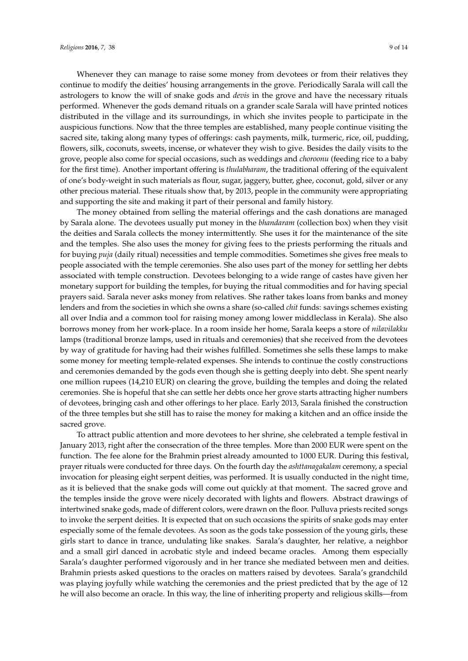Whenever they can manage to raise some money from devotees or from their relatives they continue to modify the deities' housing arrangements in the grove. Periodically Sarala will call the astrologers to know the will of snake gods and *devis* in the grove and have the necessary rituals performed. Whenever the gods demand rituals on a grander scale Sarala will have printed notices distributed in the village and its surroundings, in which she invites people to participate in the auspicious functions. Now that the three temples are established, many people continue visiting the sacred site, taking along many types of offerings: cash payments, milk, turmeric, rice, oil, pudding, flowers, silk, coconuts, sweets, incense, or whatever they wish to give. Besides the daily visits to the grove, people also come for special occasions, such as weddings and *choroonu* (feeding rice to a baby for the first time). Another important offering is *thulabharam*, the traditional offering of the equivalent of one's body-weight in such materials as flour, sugar, jaggery, butter, ghee, coconut, gold, silver or any other precious material. These rituals show that, by 2013, people in the community were appropriating and supporting the site and making it part of their personal and family history.

The money obtained from selling the material offerings and the cash donations are managed by Sarala alone. The devotees usually put money in the *bhandaram* (collection box) when they visit the deities and Sarala collects the money intermittently. She uses it for the maintenance of the site and the temples. She also uses the money for giving fees to the priests performing the rituals and for buying *puja* (daily ritual) necessities and temple commodities. Sometimes she gives free meals to people associated with the temple ceremonies. She also uses part of the money for settling her debts associated with temple construction. Devotees belonging to a wide range of castes have given her monetary support for building the temples, for buying the ritual commodities and for having special prayers said. Sarala never asks money from relatives. She rather takes loans from banks and money lenders and from the societies in which she owns a share (so-called *chit* funds: savings schemes existing all over India and a common tool for raising money among lower middleclass in Kerala). She also borrows money from her work-place. In a room inside her home, Sarala keeps a store of *nilavilakku* lamps (traditional bronze lamps, used in rituals and ceremonies) that she received from the devotees by way of gratitude for having had their wishes fulfilled. Sometimes she sells these lamps to make some money for meeting temple-related expenses. She intends to continue the costly constructions and ceremonies demanded by the gods even though she is getting deeply into debt. She spent nearly one million rupees (14,210 EUR) on clearing the grove, building the temples and doing the related ceremonies. She is hopeful that she can settle her debts once her grove starts attracting higher numbers of devotees, bringing cash and other offerings to her place. Early 2013, Sarala finished the construction of the three temples but she still has to raise the money for making a kitchen and an office inside the sacred grove.

To attract public attention and more devotees to her shrine, she celebrated a temple festival in January 2013, right after the consecration of the three temples. More than 2000 EUR were spent on the function. The fee alone for the Brahmin priest already amounted to 1000 EUR. During this festival, prayer rituals were conducted for three days. On the fourth day the *ashttanagakalam* ceremony, a special invocation for pleasing eight serpent deities, was performed. It is usually conducted in the night time, as it is believed that the snake gods will come out quickly at that moment. The sacred grove and the temples inside the grove were nicely decorated with lights and flowers. Abstract drawings of intertwined snake gods, made of different colors, were drawn on the floor. Pulluva priests recited songs to invoke the serpent deities. It is expected that on such occasions the spirits of snake gods may enter especially some of the female devotees. As soon as the gods take possession of the young girls, these girls start to dance in trance, undulating like snakes. Sarala's daughter, her relative, a neighbor and a small girl danced in acrobatic style and indeed became oracles. Among them especially Sarala's daughter performed vigorously and in her trance she mediated between men and deities. Brahmin priests asked questions to the oracles on matters raised by devotees. Sarala's grandchild was playing joyfully while watching the ceremonies and the priest predicted that by the age of 12 he will also become an oracle. In this way, the line of inheriting property and religious skills—from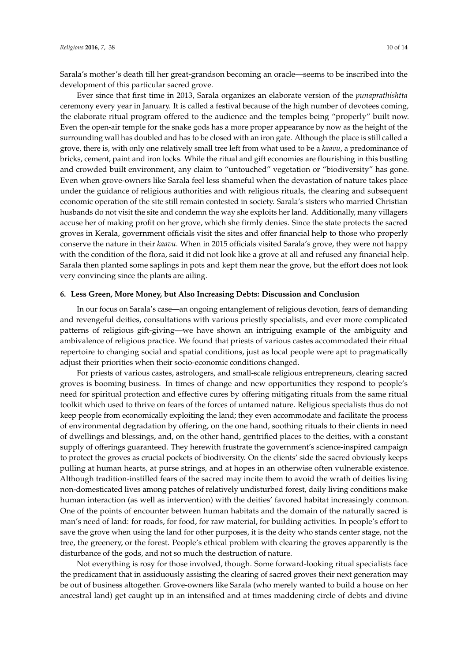Sarala's mother's death till her great-grandson becoming an oracle—seems to be inscribed into the development of this particular sacred grove.

Ever since that first time in 2013, Sarala organizes an elaborate version of the *punaprathishtta* ceremony every year in January. It is called a festival because of the high number of devotees coming, the elaborate ritual program offered to the audience and the temples being "properly" built now. Even the open-air temple for the snake gods has a more proper appearance by now as the height of the surrounding wall has doubled and has to be closed with an iron gate. Although the place is still called a grove, there is, with only one relatively small tree left from what used to be a *kaavu*, a predominance of bricks, cement, paint and iron locks. While the ritual and gift economies are flourishing in this bustling and crowded built environment, any claim to "untouched" vegetation or "biodiversity" has gone. Even when grove-owners like Sarala feel less shameful when the devastation of nature takes place under the guidance of religious authorities and with religious rituals, the clearing and subsequent economic operation of the site still remain contested in society. Sarala's sisters who married Christian husbands do not visit the site and condemn the way she exploits her land. Additionally, many villagers accuse her of making profit on her grove, which she firmly denies. Since the state protects the sacred groves in Kerala, government officials visit the sites and offer financial help to those who properly conserve the nature in their *kaavu*. When in 2015 officials visited Sarala's grove, they were not happy with the condition of the flora, said it did not look like a grove at all and refused any financial help. Sarala then planted some saplings in pots and kept them near the grove, but the effort does not look very convincing since the plants are ailing.

#### **6. Less Green, More Money, but Also Increasing Debts: Discussion and Conclusion**

In our focus on Sarala's case—an ongoing entanglement of religious devotion, fears of demanding and revengeful deities, consultations with various priestly specialists, and ever more complicated patterns of religious gift-giving—we have shown an intriguing example of the ambiguity and ambivalence of religious practice. We found that priests of various castes accommodated their ritual repertoire to changing social and spatial conditions, just as local people were apt to pragmatically adjust their priorities when their socio-economic conditions changed.

For priests of various castes, astrologers, and small-scale religious entrepreneurs, clearing sacred groves is booming business. In times of change and new opportunities they respond to people's need for spiritual protection and effective cures by offering mitigating rituals from the same ritual toolkit which used to thrive on fears of the forces of untamed nature. Religious specialists thus do not keep people from economically exploiting the land; they even accommodate and facilitate the process of environmental degradation by offering, on the one hand, soothing rituals to their clients in need of dwellings and blessings, and, on the other hand, gentrified places to the deities, with a constant supply of offerings guaranteed. They herewith frustrate the government's science-inspired campaign to protect the groves as crucial pockets of biodiversity. On the clients' side the sacred obviously keeps pulling at human hearts, at purse strings, and at hopes in an otherwise often vulnerable existence. Although tradition-instilled fears of the sacred may incite them to avoid the wrath of deities living non-domesticated lives among patches of relatively undisturbed forest, daily living conditions make human interaction (as well as intervention) with the deities' favored habitat increasingly common. One of the points of encounter between human habitats and the domain of the naturally sacred is man's need of land: for roads, for food, for raw material, for building activities. In people's effort to save the grove when using the land for other purposes, it is the deity who stands center stage, not the tree, the greenery, or the forest. People's ethical problem with clearing the groves apparently is the disturbance of the gods, and not so much the destruction of nature.

Not everything is rosy for those involved, though. Some forward-looking ritual specialists face the predicament that in assiduously assisting the clearing of sacred groves their next generation may be out of business altogether. Grove-owners like Sarala (who merely wanted to build a house on her ancestral land) get caught up in an intensified and at times maddening circle of debts and divine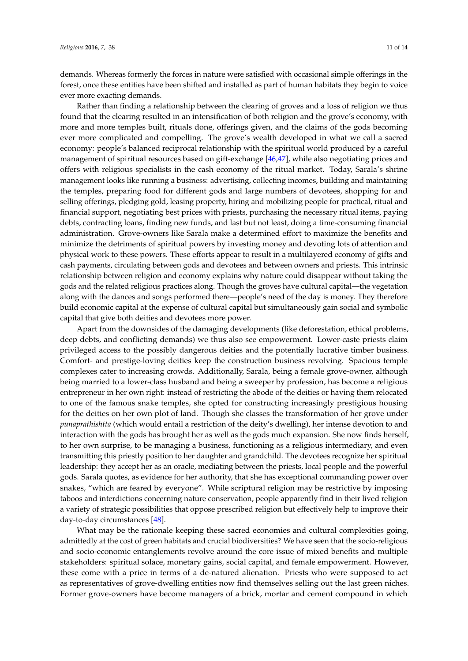demands. Whereas formerly the forces in nature were satisfied with occasional simple offerings in the forest, once these entities have been shifted and installed as part of human habitats they begin to voice ever more exacting demands.

Rather than finding a relationship between the clearing of groves and a loss of religion we thus found that the clearing resulted in an intensification of both religion and the grove's economy, with more and more temples built, rituals done, offerings given, and the claims of the gods becoming ever more complicated and compelling. The grove's wealth developed in what we call a sacred economy: people's balanced reciprocal relationship with the spiritual world produced by a careful management of spiritual resources based on gift-exchange [\[46](#page-13-2)[,47\]](#page-13-3), while also negotiating prices and offers with religious specialists in the cash economy of the ritual market. Today, Sarala's shrine management looks like running a business: advertising, collecting incomes, building and maintaining the temples, preparing food for different gods and large numbers of devotees, shopping for and selling offerings, pledging gold, leasing property, hiring and mobilizing people for practical, ritual and financial support, negotiating best prices with priests, purchasing the necessary ritual items, paying debts, contracting loans, finding new funds, and last but not least, doing a time-consuming financial administration. Grove-owners like Sarala make a determined effort to maximize the benefits and minimize the detriments of spiritual powers by investing money and devoting lots of attention and physical work to these powers. These efforts appear to result in a multilayered economy of gifts and cash payments, circulating between gods and devotees and between owners and priests. This intrinsic relationship between religion and economy explains why nature could disappear without taking the gods and the related religious practices along. Though the groves have cultural capital—the vegetation along with the dances and songs performed there—people's need of the day is money. They therefore build economic capital at the expense of cultural capital but simultaneously gain social and symbolic capital that give both deities and devotees more power.

Apart from the downsides of the damaging developments (like deforestation, ethical problems, deep debts, and conflicting demands) we thus also see empowerment. Lower-caste priests claim privileged access to the possibly dangerous deities and the potentially lucrative timber business. Comfort- and prestige-loving deities keep the construction business revolving. Spacious temple complexes cater to increasing crowds. Additionally, Sarala, being a female grove-owner, although being married to a lower-class husband and being a sweeper by profession, has become a religious entrepreneur in her own right: instead of restricting the abode of the deities or having them relocated to one of the famous snake temples, she opted for constructing increasingly prestigious housing for the deities on her own plot of land. Though she classes the transformation of her grove under *punaprathishtta* (which would entail a restriction of the deity's dwelling), her intense devotion to and interaction with the gods has brought her as well as the gods much expansion. She now finds herself, to her own surprise, to be managing a business, functioning as a religious intermediary, and even transmitting this priestly position to her daughter and grandchild. The devotees recognize her spiritual leadership: they accept her as an oracle, mediating between the priests, local people and the powerful gods. Sarala quotes, as evidence for her authority, that she has exceptional commanding power over snakes, "which are feared by everyone". While scriptural religion may be restrictive by imposing taboos and interdictions concerning nature conservation, people apparently find in their lived religion a variety of strategic possibilities that oppose prescribed religion but effectively help to improve their day-to-day circumstances [\[48\]](#page-13-4).

What may be the rationale keeping these sacred economies and cultural complexities going, admittedly at the cost of green habitats and crucial biodiversities? We have seen that the socio-religious and socio-economic entanglements revolve around the core issue of mixed benefits and multiple stakeholders: spiritual solace, monetary gains, social capital, and female empowerment. However, these come with a price in terms of a de-natured alienation. Priests who were supposed to act as representatives of grove-dwelling entities now find themselves selling out the last green niches. Former grove-owners have become managers of a brick, mortar and cement compound in which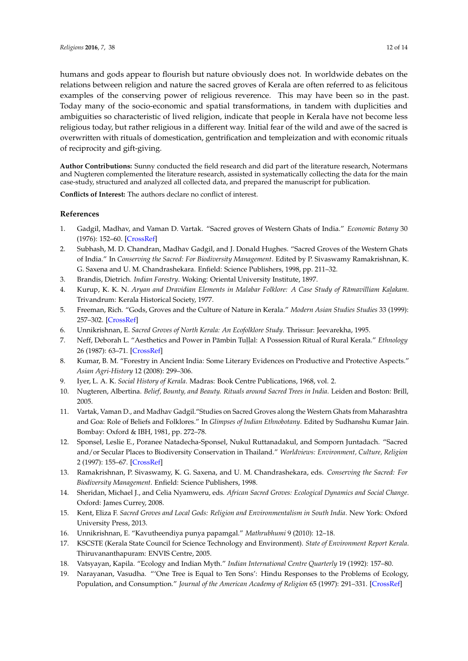humans and gods appear to flourish but nature obviously does not. In worldwide debates on the relations between religion and nature the sacred groves of Kerala are often referred to as felicitous examples of the conserving power of religious reverence. This may have been so in the past. Today many of the socio-economic and spatial transformations, in tandem with duplicities and ambiguities so characteristic of lived religion, indicate that people in Kerala have not become less religious today, but rather religious in a different way. Initial fear of the wild and awe of the sacred is overwritten with rituals of domestication, gentrification and templeization and with economic rituals of reciprocity and gift-giving.

**Author Contributions:** Sunny conducted the field research and did part of the literature research, Notermans and Nugteren complemented the literature research, assisted in systematically collecting the data for the main case-study, structured and analyzed all collected data, and prepared the manuscript for publication.

**Conflicts of Interest:** The authors declare no conflict of interest.

## **References**

- <span id="page-11-0"></span>1. Gadgil, Madhav, and Vaman D. Vartak. "Sacred groves of Western Ghats of India." *Economic Botany* 30 (1976): 152–60. [\[CrossRef\]](http://dx.doi.org/10.1007/BF02862961)
- <span id="page-11-1"></span>2. Subhash, M. D. Chandran, Madhav Gadgil, and J. Donald Hughes. "Sacred Groves of the Western Ghats of India." In *Conserving the Sacred: For Biodiversity Management*. Edited by P. Sivaswamy Ramakrishnan, K. G. Saxena and U. M. Chandrashekara. Enfield: Science Publishers, 1998, pp. 211–32.
- <span id="page-11-2"></span>3. Brandis, Dietrich. *Indian Forestry*. Woking: Oriental University Institute, 1897.
- <span id="page-11-3"></span>4. Kurup, K. K. N. *Aryan and Dravidian Elements in Malabar Folklore: A Case Study of Rāmavilliam Kaḷakam.* ¨ Trivandrum: Kerala Historical Society, 1977.
- <span id="page-11-4"></span>5. Freeman, Rich. "Gods, Groves and the Culture of Nature in Kerala." *Modern Asian Studies Studies* 33 (1999): 257–302. [\[CrossRef\]](http://dx.doi.org/10.1017/S0026749X99003261)
- <span id="page-11-5"></span>6. Unnikrishnan, E. *Sacred Groves of North Kerala: An Ecofolklore Study*. Thrissur: Jeevarekha, 1995.
- <span id="page-11-16"></span>7. Neff, Deborah L. "Aesthetics and Power in Pāmbin Tuḷḷal: A Possession Ritual of Rural Kerala." *Ethnology* ˙ ˙ 26 (1987): 63–71. [\[CrossRef\]](http://dx.doi.org/10.2307/3773417)
- <span id="page-11-6"></span>8. Kumar, B. M. "Forestry in Ancient India: Some Literary Evidences on Productive and Protective Aspects." *Asian Agri-History* 12 (2008): 299–306.
- <span id="page-11-7"></span>9. Iyer, L. A. K. *Social History of Kerala*. Madras: Book Centre Publications, 1968, vol. 2.
- <span id="page-11-8"></span>10. Nugteren, Albertina. *Belief, Bounty, and Beauty. Rituals around Sacred Trees in India*. Leiden and Boston: Brill, 2005.
- <span id="page-11-9"></span>11. Vartak, Vaman D., and Madhav Gadgil."Studies on Sacred Groves along the Western Ghats from Maharashtra and Goa: Role of Beliefs and Folklores." In *Glimpses of Indian Ethnobotany*. Edited by Sudhanshu Kumar Jain. Bombay: Oxford & IBH, 1981, pp. 272–78.
- <span id="page-11-10"></span>12. Sponsel, Leslie E., Poranee Natadecha-Sponsel, Nukul Ruttanadakul, and Somporn Juntadach. "Sacred and/or Secular Places to Biodiversity Conservation in Thailand." *Worldviews: Environment, Culture, Religion* 2 (1997): 155–67. [\[CrossRef\]](http://dx.doi.org/10.1163/156853598X00154)
- <span id="page-11-15"></span>13. Ramakrishnan, P. Sivaswamy, K. G. Saxena, and U. M. Chandrashekara, eds. *Conserving the Sacred: For Biodiversity Management*. Enfield: Science Publishers, 1998.
- 14. Sheridan, Michael J., and Celia Nyamweru, eds. *African Sacred Groves: Ecological Dynamics and Social Change*. Oxford: James Currey, 2008.
- <span id="page-11-11"></span>15. Kent, Eliza F. *Sacred Groves and Local Gods: Religion and Environmentalism in South India*. New York: Oxford University Press, 2013.
- <span id="page-11-12"></span>16. Unnikrishnan, E. "Kavutheendiya punya papamgal." *Mathrubhumi* 9 (2010): 12–18.
- <span id="page-11-13"></span>17. KSCSTE (Kerala State Council for Science Technology and Environment). *State of Environment Report Kerala*. Thiruvananthapuram: ENVIS Centre, 2005.
- <span id="page-11-14"></span>18. Vatsyayan, Kapila. "Ecology and Indian Myth." *Indian International Centre Quarterly* 19 (1992): 157–80.
- 19. Narayanan, Vasudha. "'One Tree is Equal to Ten Sons': Hindu Responses to the Problems of Ecology, Population, and Consumption." *Journal of the American Academy of Religion* 65 (1997): 291–331. [\[CrossRef\]](http://dx.doi.org/10.1093/jaarel/65.2.291)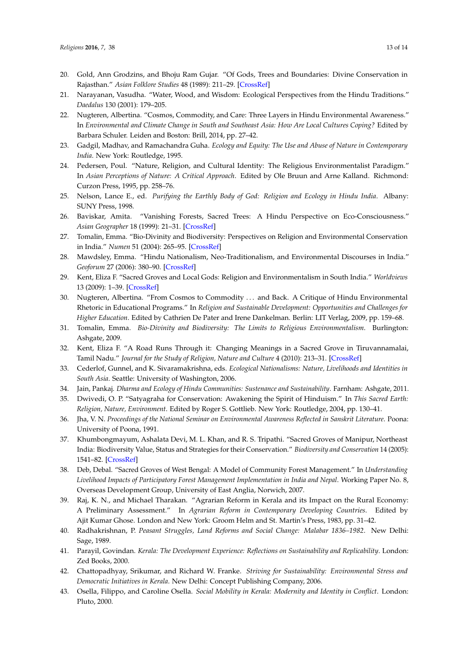- 20. Gold, Ann Grodzins, and Bhoju Ram Gujar. "Of Gods, Trees and Boundaries: Divine Conservation in Rajasthan." *Asian Folklore Studies* 48 (1989): 211–29. [\[CrossRef\]](http://dx.doi.org/10.2307/1177918)
- 21. Narayanan, Vasudha. "Water, Wood, and Wisdom: Ecological Perspectives from the Hindu Traditions." *Daedalus* 130 (2001): 179–205.
- <span id="page-12-0"></span>22. Nugteren, Albertina. "Cosmos, Commodity, and Care: Three Layers in Hindu Environmental Awareness." In *Environmental and Climate Change in South and Southeast Asia: How Are Local Cultures Coping?* Edited by Barbara Schuler. Leiden and Boston: Brill, 2014, pp. 27–42.
- 23. Gadgil, Madhav, and Ramachandra Guha. *Ecology and Equity: The Use and Abuse of Nature in Contemporary India*. New York: Routledge, 1995.
- 24. Pedersen, Poul. "Nature, Religion, and Cultural Identity: The Religious Environmentalist Paradigm." In *Asian Perceptions of Nature: A Critical Approach*. Edited by Ole Bruun and Arne Kalland. Richmond: Curzon Press, 1995, pp. 258–76.
- 25. Nelson, Lance E., ed. *Purifying the Earthly Body of God: Religion and Ecology in Hindu India*. Albany: SUNY Press, 1998.
- 26. Baviskar, Amita. "Vanishing Forests, Sacred Trees: A Hindu Perspective on Eco-Consciousness." *Asian Geographer* 18 (1999): 21–31. [\[CrossRef\]](http://dx.doi.org/10.1080/10225706.1999.9684045)
- 27. Tomalin, Emma. "Bio-Divinity and Biodiversity: Perspectives on Religion and Environmental Conservation in India." *Numen* 51 (2004): 265–95. [\[CrossRef\]](http://dx.doi.org/10.1163/1568527041945481)
- 28. Mawdsley, Emma. "Hindu Nationalism, Neo-Traditionalism, and Environmental Discourses in India." *Geoforum* 27 (2006): 380–90. [\[CrossRef\]](http://dx.doi.org/10.1016/j.geoforum.2005.06.004)
- 29. Kent, Eliza F. "Sacred Groves and Local Gods: Religion and Environmentalism in South India." *Worldviews* 13 (2009): 1–39. [\[CrossRef\]](http://dx.doi.org/10.1163/156853508X394490)
- 30. Nugteren, Albertina. "From Cosmos to Commodity . . . and Back. A Critique of Hindu Environmental Rhetoric in Educational Programs." In *Religion and Sustainable Development: Opportunities and Challenges for Higher Education*. Edited by Cathrien De Pater and Irene Dankelman. Berlin: LIT Verlag, 2009, pp. 159–68.
- 31. Tomalin, Emma. *Bio-Divinity and Biodiversity: The Limits to Religious Environmentalism*. Burlington: Ashgate, 2009.
- <span id="page-12-1"></span>32. Kent, Eliza F. "A Road Runs Through it: Changing Meanings in a Sacred Grove in Tiruvannamalai, Tamil Nadu." *Journal for the Study of Religion, Nature and Culture* 4 (2010): 213–31. [\[CrossRef\]](http://dx.doi.org/10.1558/jsrnc.v4i2.213)
- <span id="page-12-2"></span>33. Cederlof, Gunnel, and K. Sivaramakrishna, eds. *Ecological Nationalisms: Nature, Livelihoods and Identities in South Asia*. Seattle: University of Washington, 2006.
- <span id="page-12-3"></span>34. Jain, Pankaj. *Dharma and Ecology of Hindu Communities: Sustenance and Sustainability*. Farnham: Ashgate, 2011.
- <span id="page-12-4"></span>35. Dwivedi, O. P. "Satyagraha for Conservation: Awakening the Spirit of Hinduism." In *This Sacred Earth: Religion, Nature, Environment*. Edited by Roger S. Gottlieb. New York: Routledge, 2004, pp. 130–41.
- <span id="page-12-5"></span>36. Jha, V. N. *Proceedings of the National Seminar on Environmental Awareness Reflected in Sanskrit Literature*. Poona: University of Poona, 1991.
- <span id="page-12-6"></span>37. Khumbongmayum, Ashalata Devi, M. L. Khan, and R. S. Tripathi. "Sacred Groves of Manipur, Northeast India: Biodiversity Value, Status and Strategies for their Conservation." *Biodiversity and Conservation* 14 (2005): 1541–82. [\[CrossRef\]](http://dx.doi.org/10.1007/s10531-004-0530-5)
- <span id="page-12-7"></span>38. Deb, Debal. "Sacred Groves of West Bengal: A Model of Community Forest Management." In *Understanding Livelihood Impacts of Participatory Forest Management Implementation in India and Nepal*. Working Paper No. 8, Overseas Development Group, University of East Anglia, Norwich, 2007.
- <span id="page-12-8"></span>39. Raj, K. N., and Michael Tharakan. "Agrarian Reform in Kerala and its Impact on the Rural Economy: A Preliminary Assessment." In *Agrarian Reform in Contemporary Developing Countries*. Edited by Ajit Kumar Ghose. London and New York: Groom Helm and St. Martin's Press, 1983, pp. 31–42.
- 40. Radhakrishnan, P. *Peasant Struggles, Land Reforms and Social Change: Malabar 1836–1982*. New Delhi: Sage, 1989.
- <span id="page-12-9"></span>41. Parayil, Govindan. *Kerala: The Development Experience: Reflections on Sustainability and Replicability*. London: Zed Books, 2000.
- <span id="page-12-10"></span>42. Chattopadhyay, Srikumar, and Richard W. Franke. *Striving for Sustainability: Environmental Stress and Democratic Initiatives in Kerala*. New Delhi: Concept Publishing Company, 2006.
- <span id="page-12-11"></span>43. Osella, Filippo, and Caroline Osella. *Social Mobility in Kerala: Modernity and Identity in Conflict*. London: Pluto, 2000.